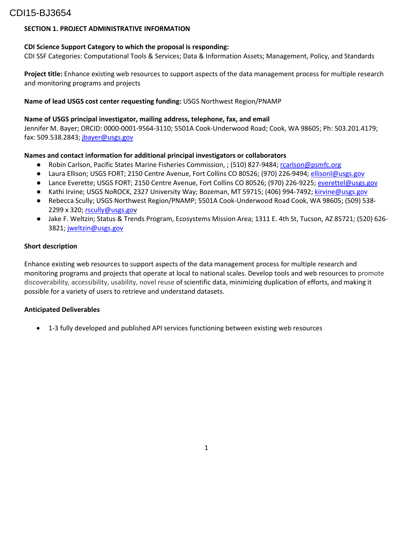## CDI15-BJ3654

## **SECTION 1. PROJECT ADMINISTRATIVE INFORMATION**

### **CDI Science Support Category to which the proposal is responding:**

CDI SSF Categories: Computational Tools & Services; Data & Information Assets; Management, Policy, and Standards

**Project title:** Enhance existing web resources to support aspects of the data management process for multiple research and monitoring programs and projects

## **Name of lead USGS cost center requesting funding:** USGS Northwest Region/PNAMP

### **Name of USGS principal investigator, mailing address, telephone, fax, and email**

Jennifer M. Bayer; ORCID: 0000-0001-9564-3110; 5501A Cook-Underwood Road; Cook, WA 98605; Ph: 503.201.4179; fax: 509.538.2843; jbayer@usgs.gov

## **Names and contact information for additional principal investigators or collaborators**

- Robin Carlson, Pacific States Marine Fisheries Commission, ; (510) 827-9484[; rcarlson@psmfc.org](mailto:rcarlson@psmfc.org)
- Laura Ellison; USGS FORT; 2150 Centre Avenue, Fort Collins CO 80526; (970) 226-9494; ellisonl@usgs.gov
- Lance Everette; USGS FORT; 2150 Centre Avenue, Fort Collins CO 80526; (970) 226-9225; [everettel@usgs.gov](mailto:everettel@usgs.gov)
- Kathi Irvine; USGS NoROCK, 2327 University Way; Bozeman, MT 59715; (406) 994-7492; kirvine@usgs.gov
- Rebecca Scully; USGS Northwest Region/PNAMP; 5501A Cook-Underwood Road Cook, WA 98605; (509) 538-2299 x 320; [rscully@usgs.gov](mailto:rscully@usgs.gov)
- Jake F. Weltzin; Status & Trends Program, Ecosystems Mission Area; 1311 E. 4th St, Tucson, AZ 85721; (520) 626- 3821; jweltzin@usgs.gov

#### **Short description**

Enhance existing web resources to support aspects of the data management process for multiple research and monitoring programs and projects that operate at local to national scales. Develop tools and web resources to promote discoverability, accessibility, usability, novel reuse of scientific data, minimizing duplication of efforts, and making it possible for a variety of users to retrieve and understand datasets.

#### **Anticipated Deliverables**

• 1-3 fully developed and published API services functioning between existing web resources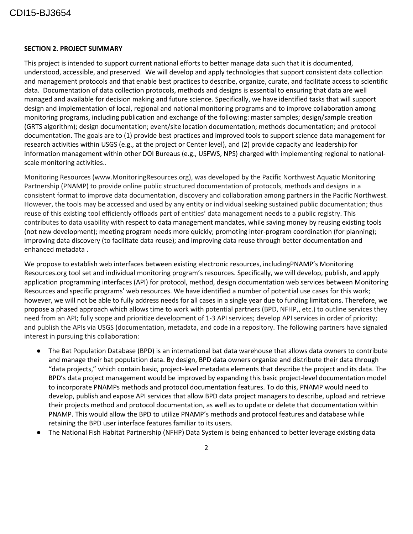## CDI15-BJ3654

#### **SECTION 2. PROJECT SUMMARY**

This project is intended to support current national efforts to better manage data such that it is documented, understood, accessible, and preserved. We will develop and apply technologies that support consistent data collection and management protocols and that enable best practices to describe, organize, curate, and facilitate access to scientific data. Documentation of data collection protocols, methods and designs is essential to ensuring that data are well managed and available for decision making and future science. Specifically, we have identified tasks that will support design and implementation of local, regional and national monitoring programs and to improve collaboration among monitoring programs, including publication and exchange of the following: master samples; design/sample creation (GRTS algorithm); design documentation; event/site location documentation; methods documentation; and protocol documentation. The goals are to (1) provide best practices and improved tools to support science data management for research activities within USGS (e.g., at the project or Center level), and (2) provide capacity and leadership for information management within other DOI Bureaus (e.g., USFWS, NPS) charged with implementing regional to nationalscale monitoring activities..

Monitoring Resources (www.MonitoringResources.org), was developed by the Pacific Northwest Aquatic Monitoring Partnership (PNAMP) to provide online public structured documentation of protocols, methods and designs in a consistent format to improve data documentation, discovery and collaboration among partners in the Pacific Northwest. However, the tools may be accessed and used by any entity or individual seeking sustained public documentation; thus reuse of this existing tool efficiently offloads part of entities' data management needs to a public registry. This contributes to data usability with respect to data management mandates, while saving money by reusing existing tools (not new development); meeting program needs more quickly; promoting inter-program coordination (for planning); improving data discovery (to facilitate data reuse); and improving data reuse through better documentation and enhanced metadata .

We propose to establish web interfaces between existing electronic resources, includingPNAMP's Monitoring Resources.org tool set and individual monitoring program's resources. Specifically, we will develop, publish, and apply application programming interfaces (API) for protocol, method, design documentation web services between Monitoring Resources and specific programs' web resources. We have identified a number of potential use cases for this work; however, we will not be able to fully address needs for all cases in a single year due to funding limitations. Therefore, we propose a phased approach which allows time to work with potential partners (BPD, NFHP,, etc.) to outline services they need from an API; fully scope and prioritize development of 1-3 API services; develop API services in order of priority; and publish the APIs via USGS (documentation, metadata, and code in a repository. The following partners have signaled interest in pursuing this collaboration:

- The Bat Population Database (BPD) is an international bat data warehouse that allows data owners to contribute and manage their bat population data. By design, BPD data owners organize and distribute their data through "data projects," which contain basic, project-level metadata elements that describe the project and its data. The BPD's data project management would be improved by expanding this basic project-level documentation model to incorporate PNAMPs methods and protocol documentation features. To do this, PNAMP would need to develop, publish and expose API services that allow BPD data project managers to describe, upload and retrieve their projects method and protocol documentation, as well as to update or delete that documentation within PNAMP. This would allow the BPD to utilize PNAMP's methods and protocol features and database while retaining the BPD user interface features familiar to its users.
- The National Fish Habitat Partnership (NFHP) Data System is being enhanced to better leverage existing data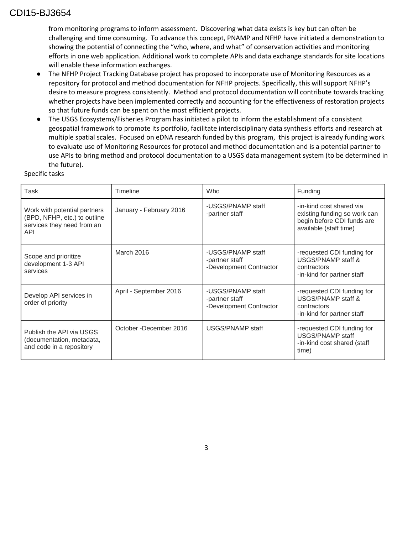## CDI15-BJ3654

from monitoring programs to inform assessment. Discovering what data exists is key but can often be challenging and time consuming. To advance this concept, PNAMP and NFHP have initiated a demonstration to showing the potential of connecting the "who, where, and what" of conservation activities and monitoring efforts in one web application. Additional work to complete APIs and data exchange standards for site locations will enable these information exchanges.

- The NFHP Project Tracking Database project has proposed to incorporate use of Monitoring Resources as a repository for protocol and method documentation for NFHP projects. Specifically, this will support NFHP's desire to measure progress consistently. Method and protocol documentation will contribute towards tracking whether projects have been implemented correctly and accounting for the effectiveness of restoration projects so that future funds can be spent on the most efficient projects.
- The USGS Ecosystems/Fisheries Program has initiated a pilot to inform the establishment of a consistent geospatial framework to promote its portfolio, facilitate interdisciplinary data synthesis efforts and research at multiple spatial scales. Focused on eDNA research funded by this program, this project is already funding work to evaluate use of Monitoring Resources for protocol and method documentation and is a potential partner to use APIs to bring method and protocol documentation to a USGS data management system (to be determined in the future).

Specific tasks

| Task                                                                                              | Timeline                | Who                                                            | Funding                                                                                                          |
|---------------------------------------------------------------------------------------------------|-------------------------|----------------------------------------------------------------|------------------------------------------------------------------------------------------------------------------|
| Work with potential partners<br>(BPD, NFHP, etc.) to outline<br>services they need from an<br>API | January - February 2016 | -USGS/PNAMP staff<br>-partner staff                            | -in-kind cost shared via<br>existing funding so work can<br>begin before CDI funds are<br>available (staff time) |
| Scope and prioritize<br>development 1-3 API<br>services                                           | March 2016              | -USGS/PNAMP staff<br>-partner staff<br>-Development Contractor | -requested CDI funding for<br>USGS/PNAMP staff &<br>contractors<br>-in-kind for partner staff                    |
| Develop API services in<br>order of priority                                                      | April - September 2016  | -USGS/PNAMP staff<br>-partner staff<br>-Development Contractor | -requested CDI funding for<br>USGS/PNAMP staff &<br>contractors<br>-in-kind for partner staff                    |
| Publish the API via USGS<br>(documentation, metadata,<br>and code in a repository                 | October - December 2016 | USGS/PNAMP staff                                               | -requested CDI funding for<br>USGS/PNAMP staff<br>-in-kind cost shared (staff<br>time)                           |